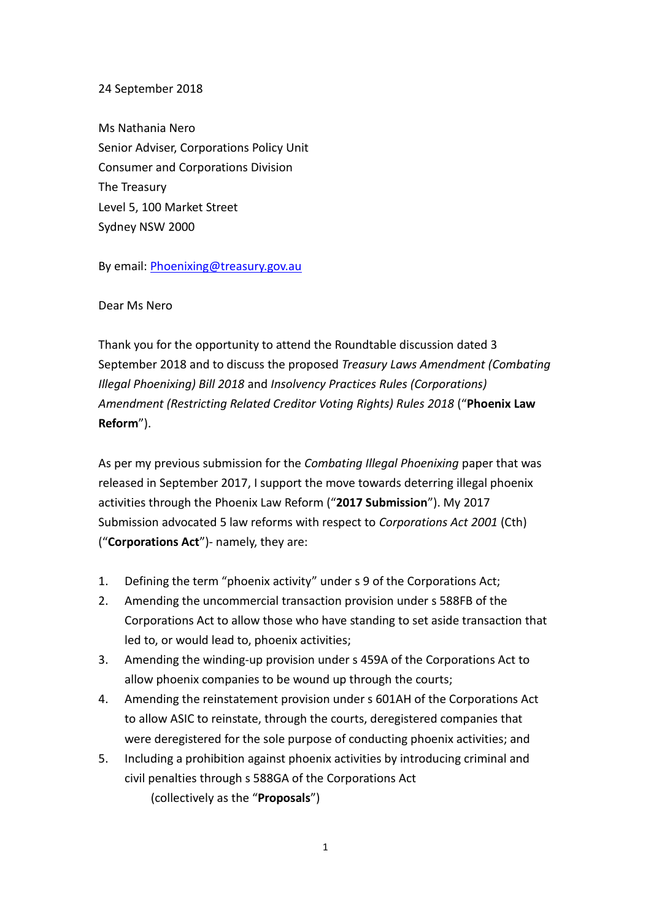## 24 September 2018

Ms Nathania Nero Senior Adviser, Corporations Policy Unit Consumer and Corporations Division The Treasury Level 5, 100 Market Street Sydney NSW 2000

By email: **Phoenixing@treasury.gov.au** 

## Dear Ms Nero

Thank you for the opportunity to attend the Roundtable discussion dated 3 September 2018 and to discuss the proposed *Treasury Laws Amendment (Combating Illegal Phoenixing) Bill 2018* and *Insolvency Practices Rules (Corporations) Amendment (Restricting Related Creditor Voting Rights) Rules 2018* ("**Phoenix Law Reform**").

As per my previous submission for the *Combating Illegal Phoenixing* paper that was released in September 2017, I support the move towards deterring illegal phoenix activities through the Phoenix Law Reform ("**2017 Submission**"). My 2017 Submission advocated 5 law reforms with respect to *Corporations Act 2001* (Cth) ("**Corporations Act**")- namely, they are:

- 1. Defining the term "phoenix activity" under s 9 of the Corporations Act;
- 2. Amending the uncommercial transaction provision under s 588FB of the Corporations Act to allow those who have standing to set aside transaction that led to, or would lead to, phoenix activities;
- 3. Amending the winding-up provision under s 459A of the Corporations Act to allow phoenix companies to be wound up through the courts;
- 4. Amending the reinstatement provision under s 601AH of the Corporations Act to allow ASIC to reinstate, through the courts, deregistered companies that were deregistered for the sole purpose of conducting phoenix activities; and
- 5. Including a prohibition against phoenix activities by introducing criminal and civil penalties through s 588GA of the Corporations Act (collectively as the "**Proposals**")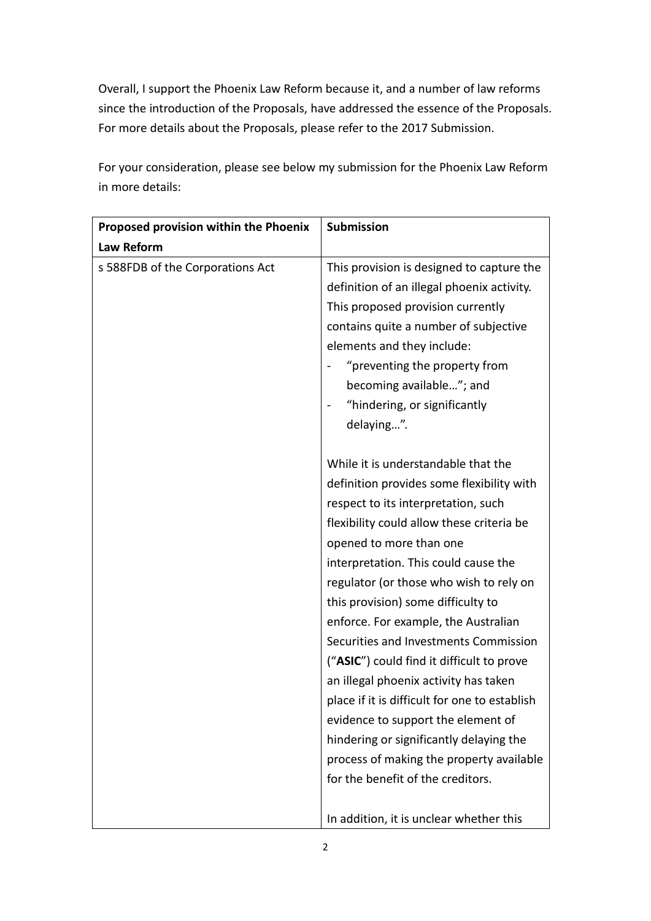Overall, I support the Phoenix Law Reform because it, and a number of law reforms since the introduction of the Proposals, have addressed the essence of the Proposals. For more details about the Proposals, please refer to the 2017 Submission.

For your consideration, please see below my submission for the Phoenix Law Reform in more details:

| Proposed provision within the Phoenix | Submission                                    |
|---------------------------------------|-----------------------------------------------|
| Law Reform                            |                                               |
| s 588FDB of the Corporations Act      | This provision is designed to capture the     |
|                                       | definition of an illegal phoenix activity.    |
|                                       | This proposed provision currently             |
|                                       | contains quite a number of subjective         |
|                                       | elements and they include:                    |
|                                       | "preventing the property from                 |
|                                       | becoming available"; and                      |
|                                       | "hindering, or significantly                  |
|                                       | delaying".                                    |
|                                       |                                               |
|                                       | While it is understandable that the           |
|                                       | definition provides some flexibility with     |
|                                       | respect to its interpretation, such           |
|                                       | flexibility could allow these criteria be     |
|                                       | opened to more than one                       |
|                                       | interpretation. This could cause the          |
|                                       | regulator (or those who wish to rely on       |
|                                       | this provision) some difficulty to            |
|                                       | enforce. For example, the Australian          |
|                                       | Securities and Investments Commission         |
|                                       | ("ASIC") could find it difficult to prove     |
|                                       | an illegal phoenix activity has taken         |
|                                       | place if it is difficult for one to establish |
|                                       | evidence to support the element of            |
|                                       | hindering or significantly delaying the       |
|                                       | process of making the property available      |
|                                       | for the benefit of the creditors.             |
|                                       |                                               |
|                                       | In addition, it is unclear whether this       |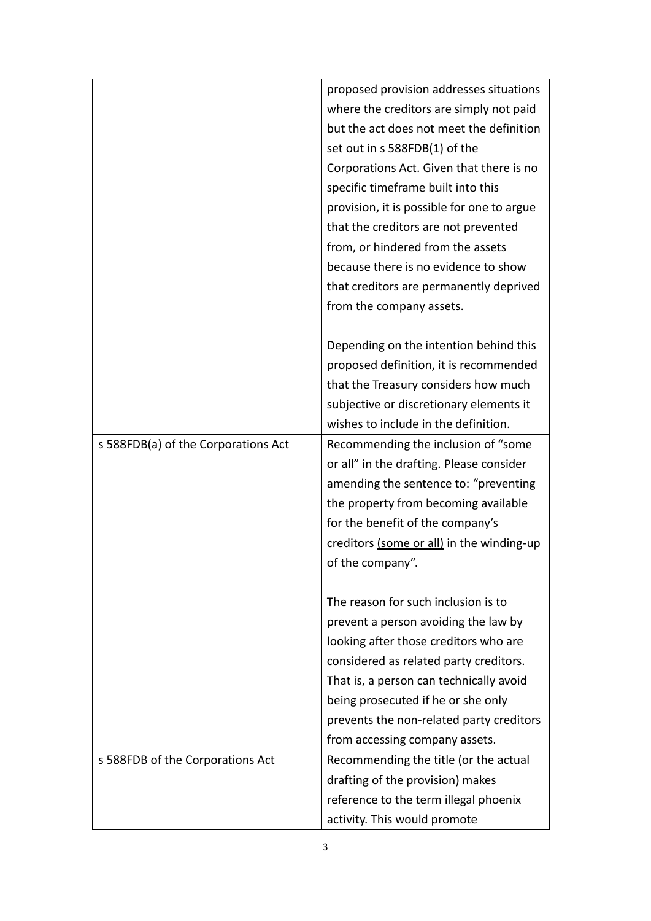|                                     | proposed provision addresses situations    |
|-------------------------------------|--------------------------------------------|
|                                     | where the creditors are simply not paid    |
|                                     | but the act does not meet the definition   |
|                                     | set out in s 588FDB(1) of the              |
|                                     | Corporations Act. Given that there is no   |
|                                     | specific timeframe built into this         |
|                                     | provision, it is possible for one to argue |
|                                     | that the creditors are not prevented       |
|                                     | from, or hindered from the assets          |
|                                     | because there is no evidence to show       |
|                                     | that creditors are permanently deprived    |
|                                     | from the company assets.                   |
|                                     |                                            |
|                                     | Depending on the intention behind this     |
|                                     | proposed definition, it is recommended     |
|                                     | that the Treasury considers how much       |
|                                     | subjective or discretionary elements it    |
|                                     | wishes to include in the definition.       |
| s 588FDB(a) of the Corporations Act | Recommending the inclusion of "some        |
|                                     | or all" in the drafting. Please consider   |
|                                     | amending the sentence to: "preventing      |
|                                     | the property from becoming available       |
|                                     | for the benefit of the company's           |
|                                     | creditors (some or all) in the winding-up  |
|                                     | of the company".                           |
|                                     |                                            |
|                                     | The reason for such inclusion is to        |
|                                     | prevent a person avoiding the law by       |
|                                     | looking after those creditors who are      |
|                                     | considered as related party creditors.     |
|                                     | That is, a person can technically avoid    |
|                                     | being prosecuted if he or she only         |
|                                     | prevents the non-related party creditors   |
|                                     | from accessing company assets.             |
| s 588FDB of the Corporations Act    | Recommending the title (or the actual      |
|                                     | drafting of the provision) makes           |
|                                     | reference to the term illegal phoenix      |
|                                     | activity. This would promote               |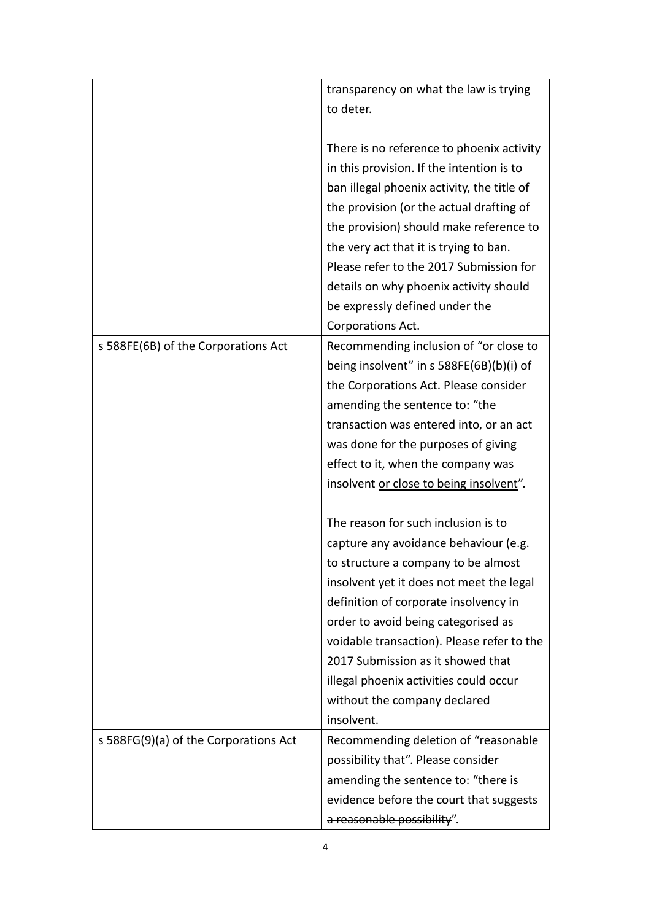|                                       | transparency on what the law is trying     |
|---------------------------------------|--------------------------------------------|
|                                       | to deter.                                  |
|                                       |                                            |
|                                       | There is no reference to phoenix activity  |
|                                       | in this provision. If the intention is to  |
|                                       | ban illegal phoenix activity, the title of |
|                                       | the provision (or the actual drafting of   |
|                                       | the provision) should make reference to    |
|                                       | the very act that it is trying to ban.     |
|                                       | Please refer to the 2017 Submission for    |
|                                       | details on why phoenix activity should     |
|                                       | be expressly defined under the             |
|                                       | Corporations Act.                          |
| s 588FE(6B) of the Corporations Act   | Recommending inclusion of "or close to     |
|                                       | being insolvent" in s 588FE(6B)(b)(i) of   |
|                                       | the Corporations Act. Please consider      |
|                                       | amending the sentence to: "the             |
|                                       | transaction was entered into, or an act    |
|                                       | was done for the purposes of giving        |
|                                       | effect to it, when the company was         |
|                                       | insolvent or close to being insolvent".    |
|                                       |                                            |
|                                       | The reason for such inclusion is to        |
|                                       | capture any avoidance behaviour (e.g.      |
|                                       | to structure a company to be almost        |
|                                       | insolvent yet it does not meet the legal   |
|                                       | definition of corporate insolvency in      |
|                                       | order to avoid being categorised as        |
|                                       | voidable transaction). Please refer to the |
|                                       | 2017 Submission as it showed that          |
|                                       | illegal phoenix activities could occur     |
|                                       | without the company declared               |
|                                       | insolvent.                                 |
| s 588FG(9)(a) of the Corporations Act | Recommending deletion of "reasonable       |
|                                       | possibility that". Please consider         |
|                                       | amending the sentence to: "there is        |
|                                       | evidence before the court that suggests    |
|                                       | a reasonable possibility".                 |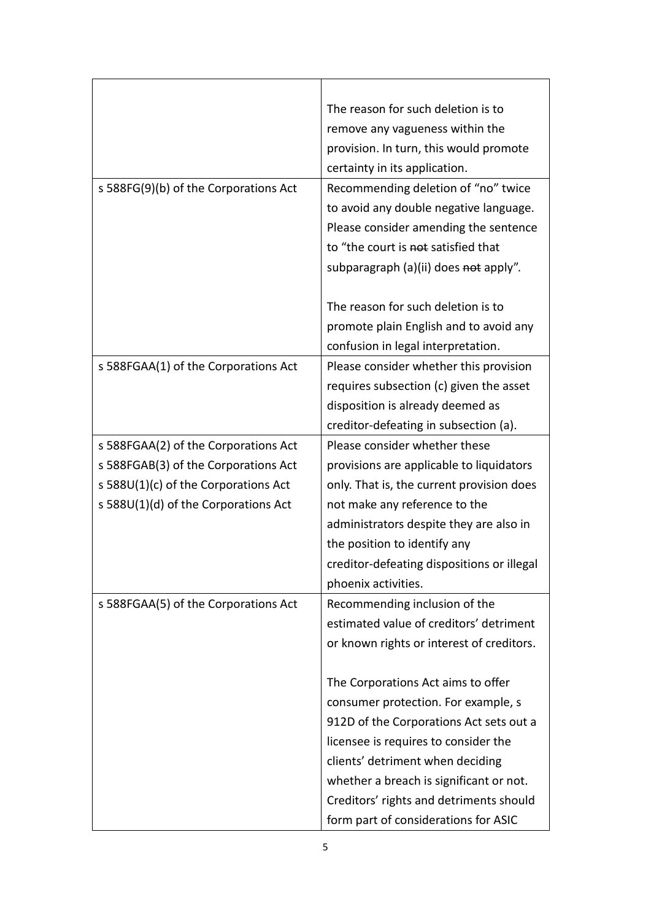|                                       | The reason for such deletion is to         |
|---------------------------------------|--------------------------------------------|
|                                       | remove any vagueness within the            |
|                                       | provision. In turn, this would promote     |
|                                       | certainty in its application.              |
| s 588FG(9)(b) of the Corporations Act | Recommending deletion of "no" twice        |
|                                       | to avoid any double negative language.     |
|                                       | Please consider amending the sentence      |
|                                       | to "the court is not satisfied that        |
|                                       | subparagraph (a)(ii) does not apply".      |
|                                       |                                            |
|                                       | The reason for such deletion is to         |
|                                       | promote plain English and to avoid any     |
|                                       | confusion in legal interpretation.         |
| s 588FGAA(1) of the Corporations Act  | Please consider whether this provision     |
|                                       | requires subsection (c) given the asset    |
|                                       | disposition is already deemed as           |
|                                       | creditor-defeating in subsection (a).      |
| s 588FGAA(2) of the Corporations Act  | Please consider whether these              |
| s 588FGAB(3) of the Corporations Act  | provisions are applicable to liquidators   |
| s 588U(1)(c) of the Corporations Act  | only. That is, the current provision does  |
| s 588U(1)(d) of the Corporations Act  | not make any reference to the              |
|                                       | administrators despite they are also in    |
|                                       | the position to identify any               |
|                                       | creditor-defeating dispositions or illegal |
|                                       | phoenix activities.                        |
| s 588FGAA(5) of the Corporations Act  | Recommending inclusion of the              |
|                                       | estimated value of creditors' detriment    |
|                                       | or known rights or interest of creditors.  |
|                                       |                                            |
|                                       | The Corporations Act aims to offer         |
|                                       | consumer protection. For example, s        |
|                                       | 912D of the Corporations Act sets out a    |
|                                       | licensee is requires to consider the       |
|                                       | clients' detriment when deciding           |
|                                       | whether a breach is significant or not.    |
|                                       | Creditors' rights and detriments should    |
|                                       | form part of considerations for ASIC       |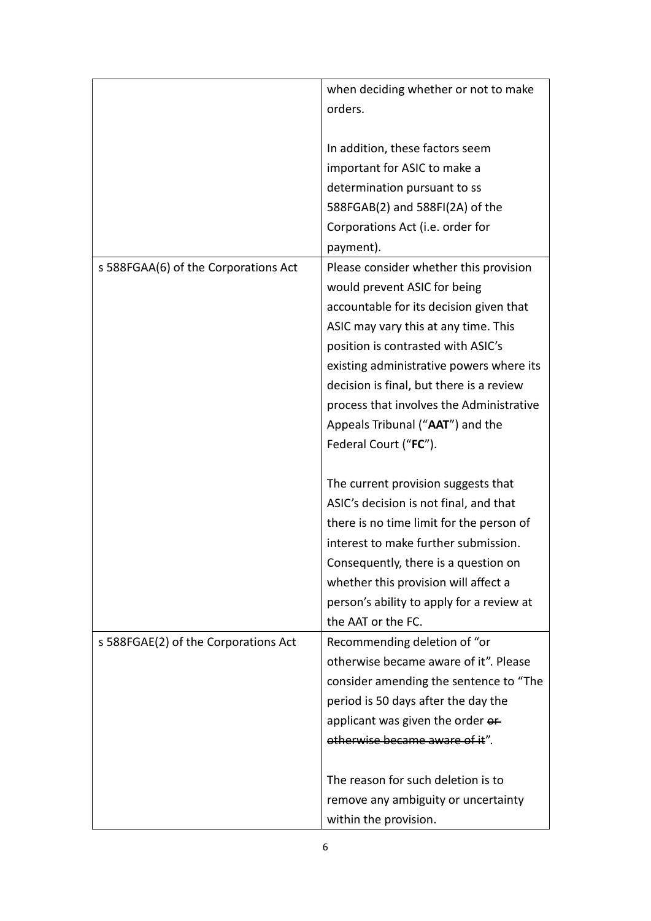|                                      | when deciding whether or not to make                                                                              |
|--------------------------------------|-------------------------------------------------------------------------------------------------------------------|
|                                      | orders.                                                                                                           |
|                                      |                                                                                                                   |
|                                      | In addition, these factors seem                                                                                   |
|                                      | important for ASIC to make a                                                                                      |
|                                      | determination pursuant to ss                                                                                      |
|                                      | 588FGAB(2) and 588FI(2A) of the                                                                                   |
|                                      | Corporations Act (i.e. order for                                                                                  |
|                                      | payment).                                                                                                         |
| s 588FGAA(6) of the Corporations Act | Please consider whether this provision<br>would prevent ASIC for being<br>accountable for its decision given that |
|                                      | ASIC may vary this at any time. This<br>position is contrasted with ASIC's                                        |
|                                      | existing administrative powers where its                                                                          |
|                                      | decision is final, but there is a review                                                                          |
|                                      | process that involves the Administrative                                                                          |
|                                      | Appeals Tribunal ("AAT") and the                                                                                  |
|                                      | Federal Court ("FC").                                                                                             |
|                                      |                                                                                                                   |
|                                      | The current provision suggests that                                                                               |
|                                      | ASIC's decision is not final, and that                                                                            |
|                                      | there is no time limit for the person of                                                                          |
|                                      | interest to make further submission.                                                                              |
|                                      | Consequently, there is a question on                                                                              |
|                                      | whether this provision will affect a                                                                              |
|                                      | person's ability to apply for a review at                                                                         |
|                                      | the AAT or the FC.                                                                                                |
| s 588FGAE(2) of the Corporations Act | Recommending deletion of "or                                                                                      |
|                                      | otherwise became aware of it". Please                                                                             |
|                                      | consider amending the sentence to "The                                                                            |
|                                      | period is 50 days after the day the                                                                               |
|                                      | applicant was given the order or                                                                                  |
|                                      | otherwise became aware of it".                                                                                    |
|                                      |                                                                                                                   |
|                                      | The reason for such deletion is to                                                                                |
|                                      | remove any ambiguity or uncertainty                                                                               |
|                                      | within the provision.                                                                                             |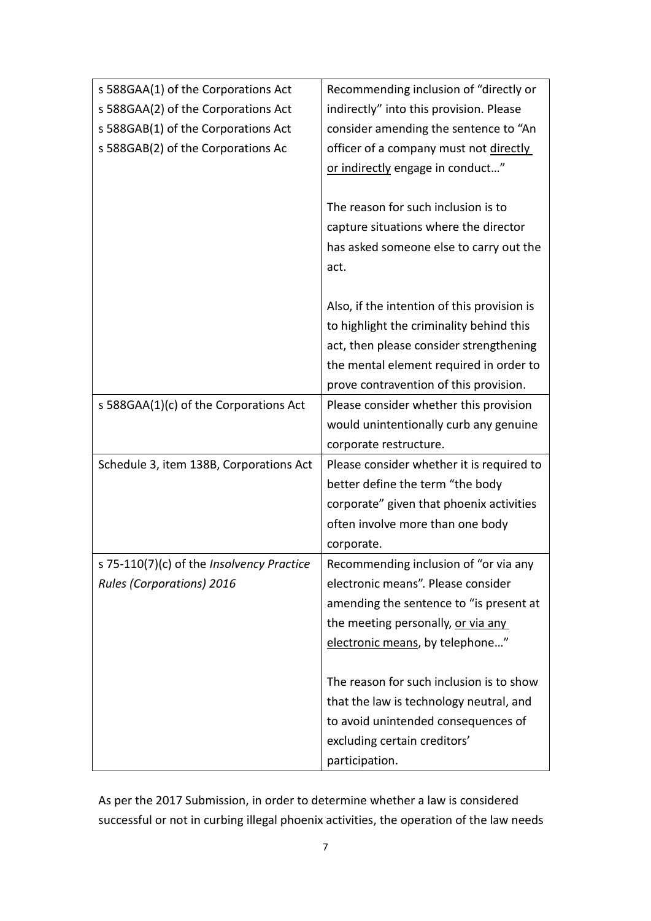| s 588GAA(1) of the Corporations Act       | Recommending inclusion of "directly or      |
|-------------------------------------------|---------------------------------------------|
| s 588GAA(2) of the Corporations Act       | indirectly" into this provision. Please     |
| s 588GAB(1) of the Corporations Act       | consider amending the sentence to "An       |
| s 588GAB(2) of the Corporations Ac        | officer of a company must not directly      |
|                                           | or indirectly engage in conduct"            |
|                                           |                                             |
|                                           | The reason for such inclusion is to         |
|                                           | capture situations where the director       |
|                                           | has asked someone else to carry out the     |
|                                           | act.                                        |
|                                           |                                             |
|                                           | Also, if the intention of this provision is |
|                                           | to highlight the criminality behind this    |
|                                           | act, then please consider strengthening     |
|                                           | the mental element required in order to     |
|                                           | prove contravention of this provision.      |
| s 588GAA(1)(c) of the Corporations Act    | Please consider whether this provision      |
|                                           | would unintentionally curb any genuine      |
|                                           | corporate restructure.                      |
| Schedule 3, item 138B, Corporations Act   | Please consider whether it is required to   |
|                                           | better define the term "the body            |
|                                           | corporate" given that phoenix activities    |
|                                           | often involve more than one body            |
|                                           | corporate.                                  |
| s 75-110(7)(c) of the Insolvency Practice | Recommending inclusion of "or via any       |
| <b>Rules (Corporations) 2016</b>          | electronic means". Please consider          |
|                                           | amending the sentence to "is present at     |
|                                           | the meeting personally, or via any          |
|                                           | electronic means, by telephone"             |
|                                           |                                             |
|                                           | The reason for such inclusion is to show    |
|                                           | that the law is technology neutral, and     |
|                                           | to avoid unintended consequences of         |
|                                           | excluding certain creditors'                |
|                                           | participation.                              |

As per the 2017 Submission, in order to determine whether a law is considered successful or not in curbing illegal phoenix activities, the operation of the law needs